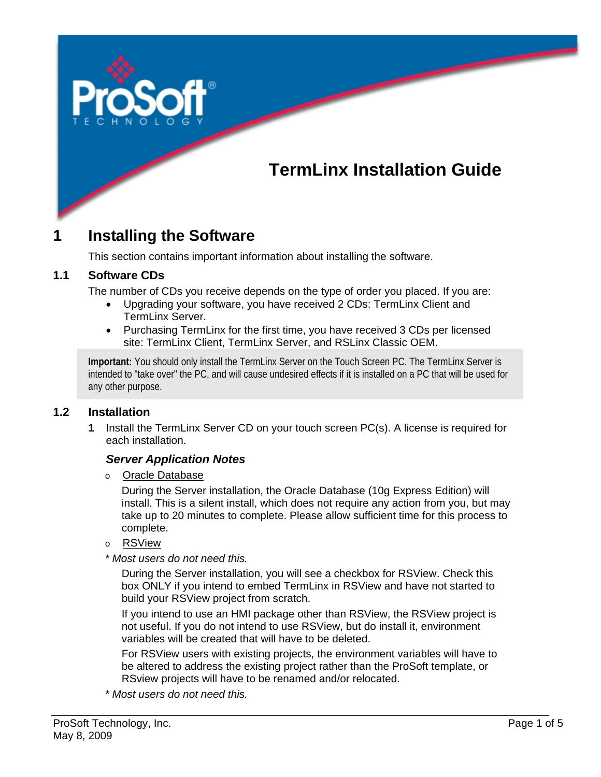# **TermLinx Installation Guide**

# **1 Installing the Software**

This section contains important information about installing the software.

#### **1.1 Software CDs**

The number of CDs you receive depends on the type of order you placed. If you are:

- Upgrading your software, you have received 2 CDs: TermLinx Client and TermLinx Server.
- Purchasing TermLinx for the first time, you have received 3 CDs per licensed site: TermLinx Client, TermLinx Server, and RSLinx Classic OEM.

**Important:** You should only install the TermLinx Server on the Touch Screen PC. The TermLinx Server is intended to "take over" the PC, and will cause undesired effects if it is installed on a PC that will be used for any other purpose.

#### **1.2 Installation**

**1** Install the TermLinx Server CD on your touch screen PC(s). A license is required for each installation.

#### *Server Application Notes*

o Oracle Database

During the Server installation, the Oracle Database (10g Express Edition) will install. This is a silent install, which does not require any action from you, but may take up to 20 minutes to complete. Please allow sufficient time for this process to complete.

- o RSView
- *\* Most users do not need this.*

During the Server installation, you will see a checkbox for RSView. Check this box ONLY if you intend to embed TermLinx in RSView and have not started to build your RSView project from scratch.

If you intend to use an HMI package other than RSView, the RSView project is not useful. If you do not intend to use RSView, but do install it, environment variables will be created that will have to be deleted.

For RSView users with existing projects, the environment variables will have to be altered to address the existing project rather than the ProSoft template, or RSview projects will have to be renamed and/or relocated.

*\* Most users do not need this.*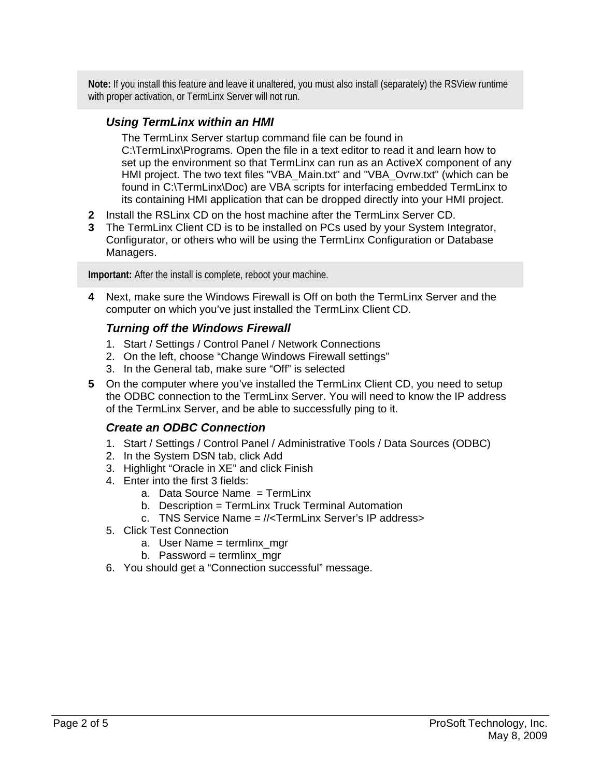**Note:** If you install this feature and leave it unaltered, you must also install (separately) the RSView runtime with proper activation, or TermLinx Server will not run.

### *Using TermLinx within an HMI*

The TermLinx Server startup command file can be found in C:\TermLinx\Programs. Open the file in a text editor to read it and learn how to set up the environment so that TermLinx can run as an ActiveX component of any HMI project. The two text files "VBA\_Main.txt" and "VBA\_Ovrw.txt" (which can be found in C:\TermLinx\Doc) are VBA scripts for interfacing embedded TermLinx to its containing HMI application that can be dropped directly into your HMI project.

- **2** Install the RSLinx CD on the host machine after the TermLinx Server CD.
- **3** The TermLinx Client CD is to be installed on PCs used by your System Integrator, Configurator, or others who will be using the TermLinx Configuration or Database Managers.

**Important:** After the install is complete, reboot your machine.

**4** Next, make sure the Windows Firewall is Off on both the TermLinx Server and the computer on which you've just installed the TermLinx Client CD.

## *Turning off the Windows Firewall*

- 1. Start / Settings / Control Panel / Network Connections
- 2. On the left, choose "Change Windows Firewall settings"
- 3. In the General tab, make sure "Off" is selected
- **5** On the computer where you've installed the TermLinx Client CD, you need to setup the ODBC connection to the TermLinx Server. You will need to know the IP address of the TermLinx Server, and be able to successfully ping to it.

### *Create an ODBC Connection*

- 1. Start / Settings / Control Panel / Administrative Tools / Data Sources (ODBC)
- 2. In the System DSN tab, click Add
- 3. Highlight "Oracle in XE" and click Finish
- 4. Enter into the first 3 fields:
	- a. Data Source Name = TermLinx
	- b. Description = TermLinx Truck Terminal Automation
	- c. TNS Service Name = //<TermLinx Server's IP address>
- 5. Click Test Connection
	- a. User Name = termlinx\_mgr
	- b. Password = termlinx mgr
- 6. You should get a "Connection successful" message.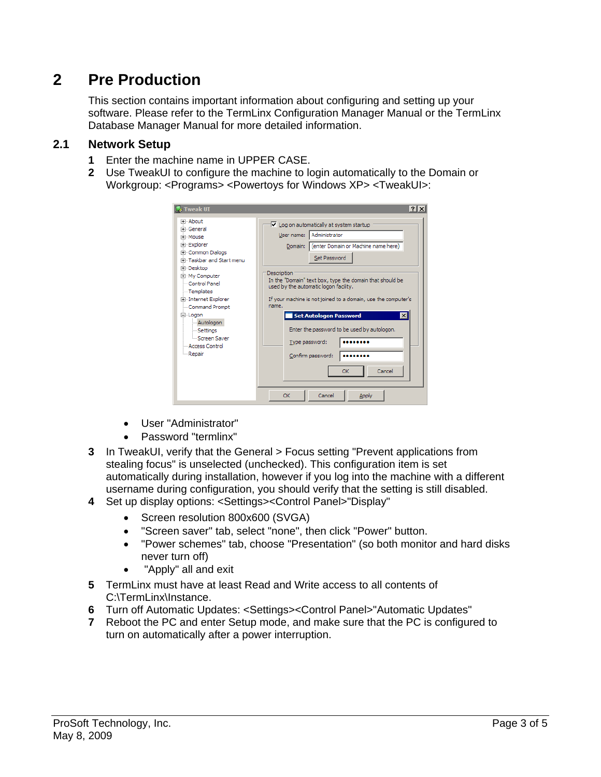# **2 Pre Production**

This section contains important information about configuring and setting up your software. Please refer to the TermLinx Configuration Manager Manual or the TermLinx Database Manager Manual for more detailed information.

### **2.1 Network Setup**

- **1** Enter the machine name in UPPER CASE.
- **2** Use TweakUI to configure the machine to login automatically to the Domain or Workgroup: <Programs> <Powertoys for Windows XP> <TweakUI>:

| <b>Tweak UI</b>                                                                                                                                                                                                                                                                                                                            | ? x                                                                                                                                                                                                                                                                                                                                                                                                                                                                                                                                      |
|--------------------------------------------------------------------------------------------------------------------------------------------------------------------------------------------------------------------------------------------------------------------------------------------------------------------------------------------|------------------------------------------------------------------------------------------------------------------------------------------------------------------------------------------------------------------------------------------------------------------------------------------------------------------------------------------------------------------------------------------------------------------------------------------------------------------------------------------------------------------------------------------|
| ⊡⊹About<br>Fi-General<br>Fi-Mouse<br><b>Explorer</b><br><b>E</b> Common Dialogs<br>Fill-Taskbar and Start menu<br><b>E</b> -Desktop<br><b>Fi-My Computer</b><br>Control Panel<br>- Templates<br><b>E</b> Internet Explorer<br>Command Prompt<br>⊟-Logon<br>- Autologon<br>- Settings<br>Screen Saver<br>- Access Control<br><b>Exepair</b> | □ Log on automatically at system startup<br>Administrator<br>User name:<br>(enter Domain or Machine name here)<br>Domain:<br>Set Password<br>Description<br>In the "Domain" text box, type the domain that should be<br>used by the automatic logon facility.<br>If your machine is not joined to a domain, use the computer's<br>name.<br>$\vert x \vert$<br><b>Set Autologon Password</b><br>Enter the password to be used by autologon.<br>Type password:<br>Confirm password:<br>Cancel<br><b>OK</b><br>Cancel<br><b>OK</b><br>Apply |

- User "Administrator"
- Password "termlinx"
- **3** In TweakUI, verify that the General > Focus setting "Prevent applications from stealing focus" is unselected (unchecked). This configuration item is set automatically during installation, however if you log into the machine with a different username during configuration, you should verify that the setting is still disabled.
- **4** Set up display options: <Settings><Control Panel>"Display"
	- Screen resolution 800x600 (SVGA)
	- "Screen saver" tab, select "none", then click "Power" button.
	- "Power schemes" tab, choose "Presentation" (so both monitor and hard disks never turn off)
	- "Apply" all and exit
- **5** TermLinx must have at least Read and Write access to all contents of C:\TermLinx\Instance.
- **6** Turn off Automatic Updates: <Settings><Control Panel>"Automatic Updates"
- **7** Reboot the PC and enter Setup mode, and make sure that the PC is configured to turn on automatically after a power interruption.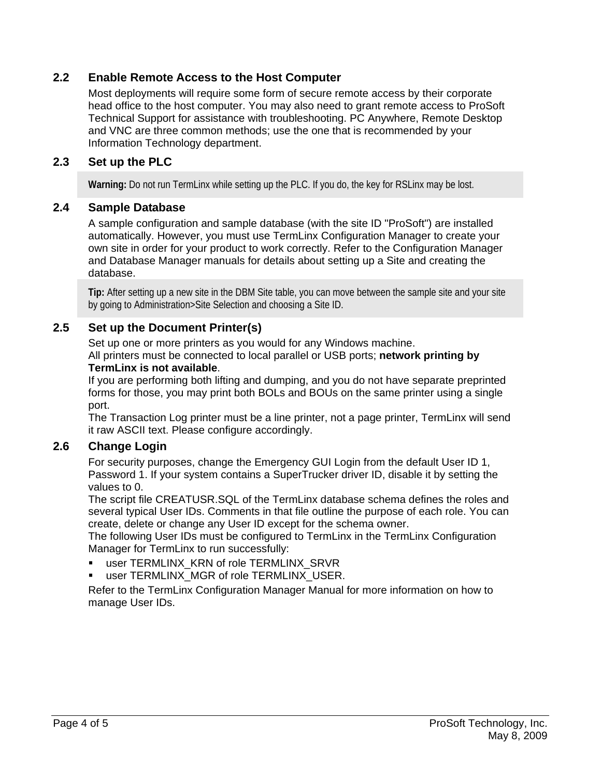### **2.2 Enable Remote Access to the Host Computer**

Most deployments will require some form of secure remote access by their corporate head office to the host computer. You may also need to grant remote access to ProSoft Technical Support for assistance with troubleshooting. PC Anywhere, Remote Desktop and VNC are three common methods; use the one that is recommended by your Information Technology department.

#### **2.3 Set up the PLC**

**Warning:** Do not run TermLinx while setting up the PLC. If you do, the key for RSLinx may be lost.

#### **2.4 Sample Database**

A sample configuration and sample database (with the site ID "ProSoft") are installed automatically. However, you must use TermLinx Configuration Manager to create your own site in order for your product to work correctly. Refer to the Configuration Manager and Database Manager manuals for details about setting up a Site and creating the database.

**Tip:** After setting up a new site in the DBM Site table, you can move between the sample site and your site by going to Administration>Site Selection and choosing a Site ID.

#### **2.5 Set up the Document Printer(s)**

Set up one or more printers as you would for any Windows machine.

All printers must be connected to local parallel or USB ports; **network printing by TermLinx is not available**.

If you are performing both lifting and dumping, and you do not have separate preprinted forms for those, you may print both BOLs and BOUs on the same printer using a single port.

The Transaction Log printer must be a line printer, not a page printer, TermLinx will send it raw ASCII text. Please configure accordingly.

#### **2.6 Change Login**

For security purposes, change the Emergency GUI Login from the default User ID 1, Password 1. If your system contains a SuperTrucker driver ID, disable it by setting the values to 0.

The script file CREATUSR.SQL of the TermLinx database schema defines the roles and several typical User IDs. Comments in that file outline the purpose of each role. You can create, delete or change any User ID except for the schema owner.

The following User IDs must be configured to TermLinx in the TermLinx Configuration Manager for TermLinx to run successfully:

- user TERMLINX\_KRN of role TERMLINX\_SRVR
- user TERMLINX\_MGR of role TERMLINX\_USER.

Refer to the TermLinx Configuration Manager Manual for more information on how to manage User IDs.